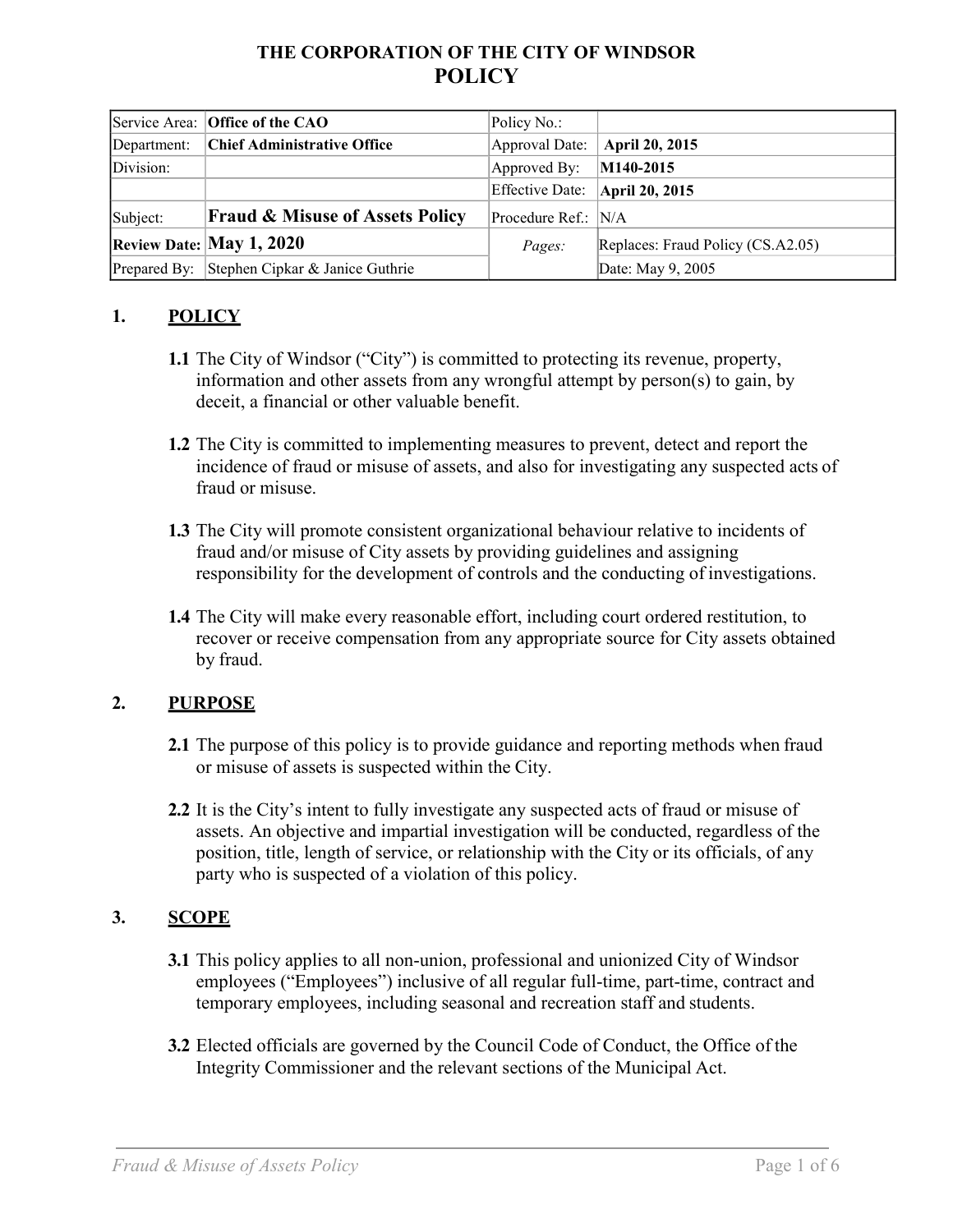# **THE CORPORATION OF THE CITY OF WINDSOR POLICY**

|             | Service Area: Office of the CAO              | Policy No.:                    |                                   |
|-------------|----------------------------------------------|--------------------------------|-----------------------------------|
| Department: | <b>Chief Administrative Office</b>           | Approval Date:                 | April 20, 2015                    |
| Division:   |                                              | Approved By:                   | $ M140-2015$                      |
|             |                                              | Effective Date: April 20, 2015 |                                   |
| Subject:    | <b>Fraud &amp; Misuse of Assets Policy</b>   | Procedure Ref.: N/A            |                                   |
|             | Review Date: May 1, 2020                     | Pages:                         | Replaces: Fraud Policy (CS.A2.05) |
|             | Prepared By: Stephen Cipkar & Janice Guthrie |                                | Date: May 9, 2005                 |

### **1. POLICY**

- **1.1** The City of Windsor ("City") is committed to protecting its revenue, property, information and other assets from any wrongful attempt by person(s) to gain, by deceit, a financial or other valuable benefit.
- **1.2** The City is committed to implementing measures to prevent, detect and report the incidence of fraud or misuse of assets, and also for investigating any suspected acts of fraud or misuse.
- **1.3** The City will promote consistent organizational behaviour relative to incidents of fraud and/or misuse of City assets by providing guidelines and assigning responsibility for the development of controls and the conducting of investigations.
- **1.4** The City will make every reasonable effort, including court ordered restitution, to recover or receive compensation from any appropriate source for City assets obtained by fraud.

### **2. PURPOSE**

- **2.1** The purpose of this policy is to provide guidance and reporting methods when fraud or misuse of assets is suspected within the City.
- **2.2** It is the City's intent to fully investigate any suspected acts of fraud or misuse of assets. An objective and impartial investigation will be conducted, regardless of the position, title, length of service, or relationship with the City or its officials, of any party who is suspected of a violation of this policy.

### **3. SCOPE**

- **3.1** This policy applies to all non-union, professional and unionized City of Windsor employees ("Employees") inclusive of all regular full-time, part-time, contract and temporary employees, including seasonal and recreation staff and students.
- **3.2** Elected officials are governed by the Council Code of Conduct, the Office of the Integrity Commissioner and the relevant sections of the Municipal Act.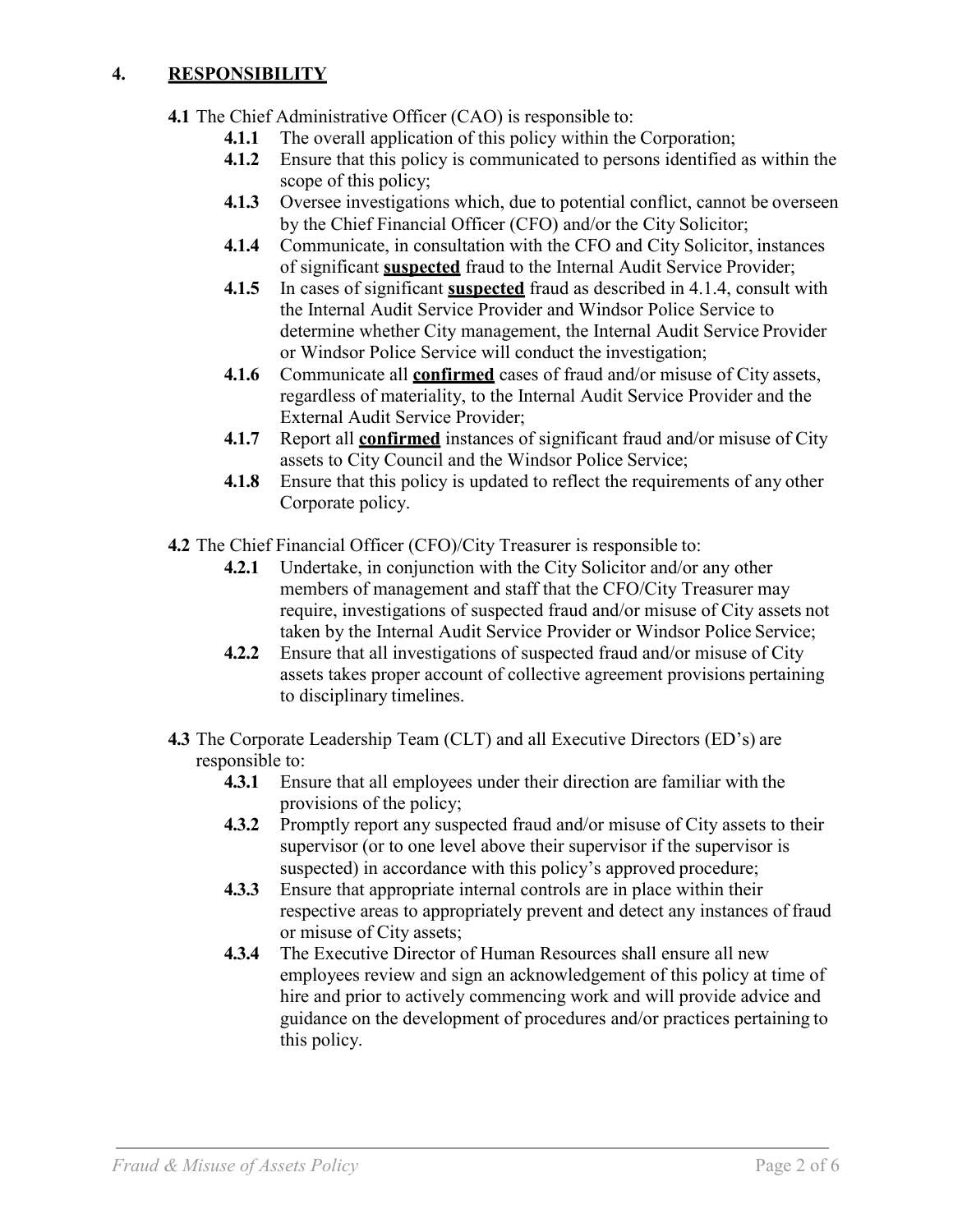### **4. RESPONSIBILITY**

- **4.1** The Chief Administrative Officer (CAO) is responsible to:
	- **4.1.1** The overall application of this policy within the Corporation;
	- **4.1.2** Ensure that this policy is communicated to persons identified as within the scope of this policy;
	- **4.1.3** Oversee investigations which, due to potential conflict, cannot be overseen by the Chief Financial Officer (CFO) and/or the City Solicitor;
	- **4.1.4** Communicate, in consultation with the CFO and City Solicitor, instances of significant **suspected** fraud to the Internal Audit Service Provider;
	- **4.1.5** In cases of significant **suspected** fraud as described in 4.1.4, consult with the Internal Audit Service Provider and Windsor Police Service to determine whether City management, the Internal Audit Service Provider or Windsor Police Service will conduct the investigation;
	- **4.1.6** Communicate all **confirmed** cases of fraud and/or misuse of City assets, regardless of materiality, to the Internal Audit Service Provider and the External Audit Service Provider;
	- **4.1.7** Report all **confirmed** instances of significant fraud and/or misuse of City assets to City Council and the Windsor Police Service;
	- **4.1.8** Ensure that this policy is updated to reflect the requirements of any other Corporate policy.
- **4.2** The Chief Financial Officer (CFO)/City Treasurer is responsible to:
	- **4.2.1** Undertake, in conjunction with the City Solicitor and/or any other members of management and staff that the CFO/City Treasurer may require, investigations of suspected fraud and/or misuse of City assets not taken by the Internal Audit Service Provider or Windsor Police Service;
	- **4.2.2** Ensure that all investigations of suspected fraud and/or misuse of City assets takes proper account of collective agreement provisions pertaining to disciplinary timelines.
- **4.3** The Corporate Leadership Team (CLT) and all Executive Directors (ED's) are responsible to:
	- **4.3.1** Ensure that all employees under their direction are familiar with the provisions of the policy;
	- **4.3.2** Promptly report any suspected fraud and/or misuse of City assets to their supervisor (or to one level above their supervisor if the supervisor is suspected) in accordance with this policy's approved procedure;
	- **4.3.3** Ensure that appropriate internal controls are in place within their respective areas to appropriately prevent and detect any instances of fraud or misuse of City assets;
	- **4.3.4** The Executive Director of Human Resources shall ensure all new employees review and sign an acknowledgement of this policy at time of hire and prior to actively commencing work and will provide advice and guidance on the development of procedures and/or practices pertaining to this policy.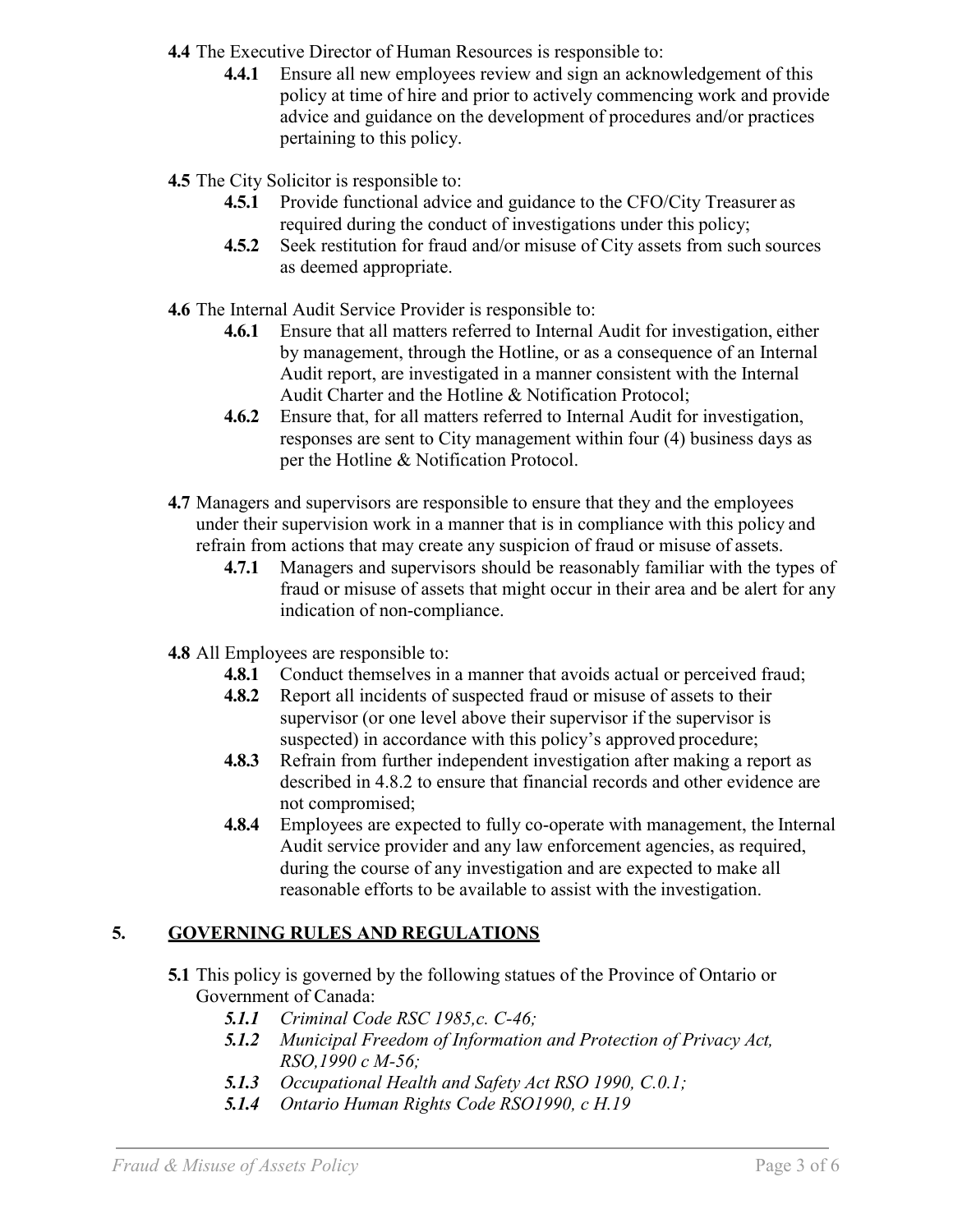**4.4** The Executive Director of Human Resources is responsible to:

**4.4.1** Ensure all new employees review and sign an acknowledgement of this policy at time of hire and prior to actively commencing work and provide advice and guidance on the development of procedures and/or practices pertaining to this policy.

**4.5** The City Solicitor is responsible to:

- **4.5.1** Provide functional advice and guidance to the CFO/City Treasurer as required during the conduct of investigations under this policy;
- **4.5.2** Seek restitution for fraud and/or misuse of City assets from such sources as deemed appropriate.
- **4.6** The Internal Audit Service Provider is responsible to:
	- **4.6.1** Ensure that all matters referred to Internal Audit for investigation, either by management, through the Hotline, or as a consequence of an Internal Audit report, are investigated in a manner consistent with the Internal Audit Charter and the Hotline & Notification Protocol;
	- **4.6.2** Ensure that, for all matters referred to Internal Audit for investigation, responses are sent to City management within four (4) business days as per the Hotline & Notification Protocol.
- **4.7** Managers and supervisors are responsible to ensure that they and the employees under their supervision work in a manner that is in compliance with this policy and refrain from actions that may create any suspicion of fraud or misuse of assets.
	- **4.7.1** Managers and supervisors should be reasonably familiar with the types of fraud or misuse of assets that might occur in their area and be alert for any indication of non-compliance.
- **4.8** All Employees are responsible to:
	- **4.8.1** Conduct themselves in a manner that avoids actual or perceived fraud;
	- **4.8.2** Report all incidents of suspected fraud or misuse of assets to their supervisor (or one level above their supervisor if the supervisor is suspected) in accordance with this policy's approved procedure;
	- **4.8.3** Refrain from further independent investigation after making a report as described in 4.8.2 to ensure that financial records and other evidence are not compromised;
	- **4.8.4** Employees are expected to fully co-operate with management, the Internal Audit service provider and any law enforcement agencies, as required, during the course of any investigation and are expected to make all reasonable efforts to be available to assist with the investigation.

# **5. GOVERNING RULES AND REGULATIONS**

- **5.1** This policy is governed by the following statues of the Province of Ontario or Government of Canada:
	- *5.1.1 Criminal Code RSC 1985,c. C-46;*
	- *5.1.2 Municipal Freedom of Information and Protection of Privacy Act, RSO,1990 c M-56;*
	- *5.1.3 Occupational Health and Safety Act RSO 1990, C.0.1;*
	- *5.1.4 Ontario Human Rights Code RSO1990, c H.19*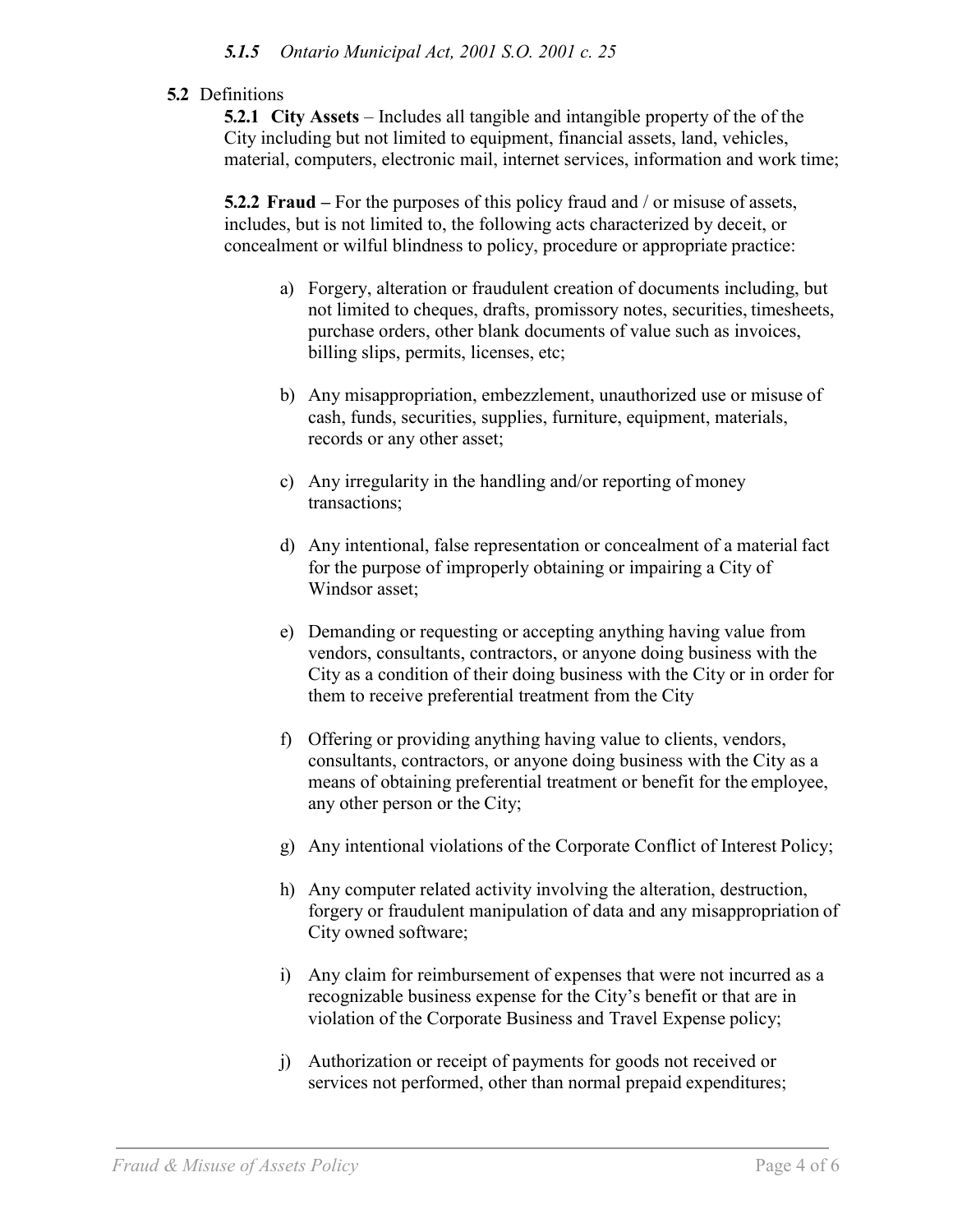### **5.2** Definitions

**5.2.1 City Assets** – Includes all tangible and intangible property of the of the City including but not limited to equipment, financial assets, land, vehicles, material, computers, electronic mail, internet services, information and work time;

**5.2.2 Fraud –** For the purposes of this policy fraud and / or misuse of assets, includes, but is not limited to, the following acts characterized by deceit, or concealment or wilful blindness to policy, procedure or appropriate practice:

- a) Forgery, alteration or fraudulent creation of documents including, but not limited to cheques, drafts, promissory notes, securities, timesheets, purchase orders, other blank documents of value such as invoices, billing slips, permits, licenses, etc;
- b) Any misappropriation, embezzlement, unauthorized use or misuse of cash, funds, securities, supplies, furniture, equipment, materials, records or any other asset;
- c) Any irregularity in the handling and/or reporting of money transactions;
- d) Any intentional, false representation or concealment of a material fact for the purpose of improperly obtaining or impairing a City of Windsor asset;
- e) Demanding or requesting or accepting anything having value from vendors, consultants, contractors, or anyone doing business with the City as a condition of their doing business with the City or in order for them to receive preferential treatment from the City
- f) Offering or providing anything having value to clients, vendors, consultants, contractors, or anyone doing business with the City as a means of obtaining preferential treatment or benefit for the employee, any other person or the City;
- g) Any intentional violations of the Corporate Conflict of Interest Policy;
- h) Any computer related activity involving the alteration, destruction, forgery or fraudulent manipulation of data and any misappropriation of City owned software;
- i) Any claim for reimbursement of expenses that were not incurred as a recognizable business expense for the City's benefit or that are in violation of the Corporate Business and Travel Expense policy;
- j) Authorization or receipt of payments for goods not received or services not performed, other than normal prepaid expenditures;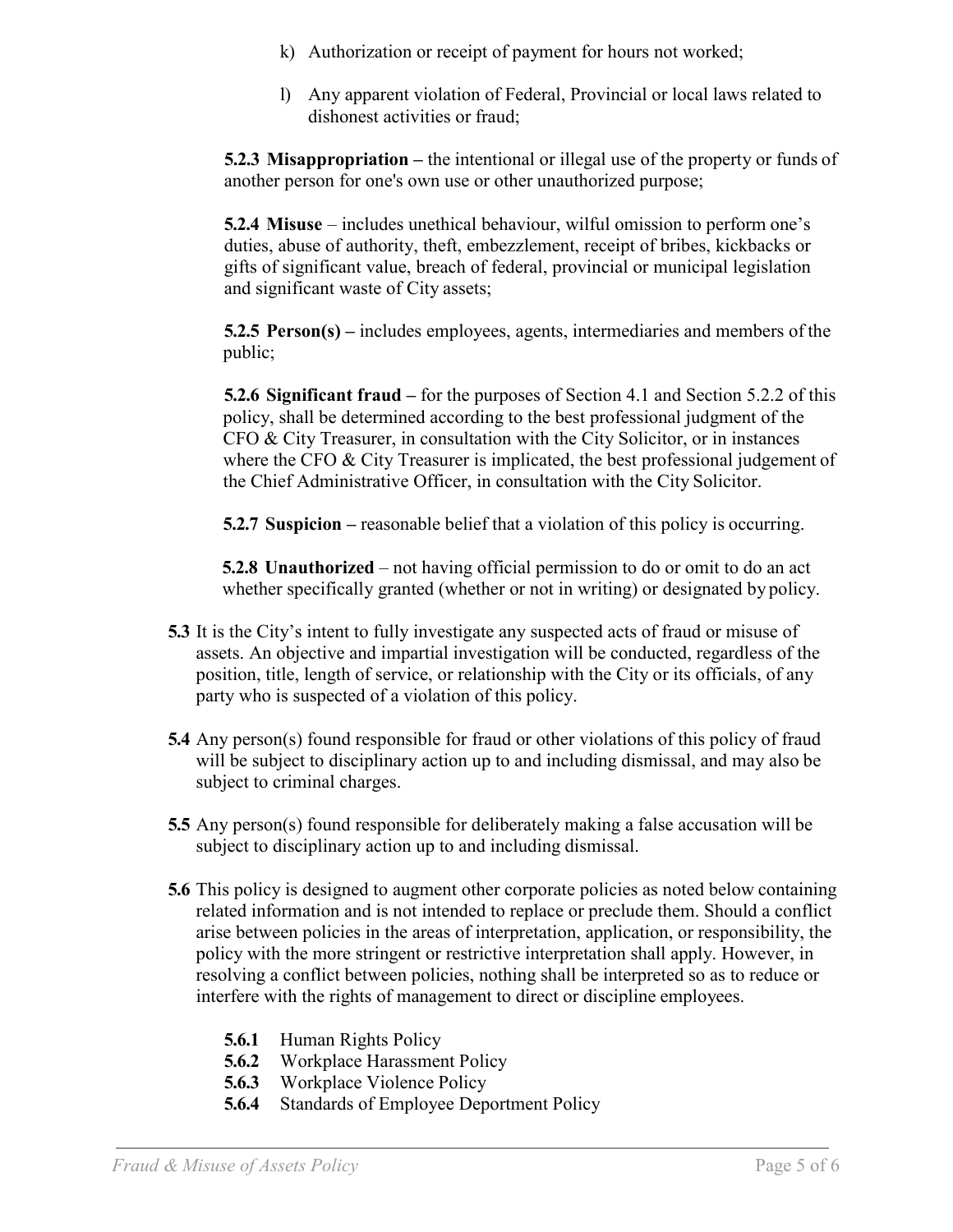- k) Authorization or receipt of payment for hours not worked;
- l) Any apparent violation of Federal, Provincial or local laws related to dishonest activities or fraud;

**5.2.3 Misappropriation –** the intentional or illegal use of the property or funds of another person for one's own use or other unauthorized purpose;

**5.2.4 Misuse** – includes unethical behaviour, wilful omission to perform one's duties, abuse of authority, theft, embezzlement, receipt of bribes, kickbacks or gifts of significant value, breach of federal, provincial or municipal legislation and significant waste of City assets;

**5.2.5 Person(s) –** includes employees, agents, intermediaries and members of the public;

**5.2.6 Significant fraud –** for the purposes of Section 4.1 and Section 5.2.2 of this policy, shall be determined according to the best professional judgment of the CFO & City Treasurer, in consultation with the City Solicitor, or in instances where the CFO  $\&$  City Treasurer is implicated, the best professional judgement of the Chief Administrative Officer, in consultation with the City Solicitor.

**5.2.7 Suspicion –** reasonable belief that a violation of this policy is occurring.

**5.2.8 Unauthorized** – not having official permission to do or omit to do an act whether specifically granted (whether or not in writing) or designated by policy.

- **5.3** It is the City's intent to fully investigate any suspected acts of fraud or misuse of assets. An objective and impartial investigation will be conducted, regardless of the position, title, length of service, or relationship with the City or its officials, of any party who is suspected of a violation of this policy.
- **5.4** Any person(s) found responsible for fraud or other violations of this policy of fraud will be subject to disciplinary action up to and including dismissal, and may also be subject to criminal charges.
- **5.5** Any person(s) found responsible for deliberately making a false accusation will be subject to disciplinary action up to and including dismissal.
- **5.6** This policy is designed to augment other corporate policies as noted below containing related information and is not intended to replace or preclude them. Should a conflict arise between policies in the areas of interpretation, application, or responsibility, the policy with the more stringent or restrictive interpretation shall apply. However, in resolving a conflict between policies, nothing shall be interpreted so as to reduce or interfere with the rights of management to direct or discipline employees.
	- **5.6.1** Human Rights Policy
	- **5.6.2** Workplace Harassment Policy
	- **5.6.3** Workplace Violence Policy
	- **5.6.4** Standards of Employee Deportment Policy